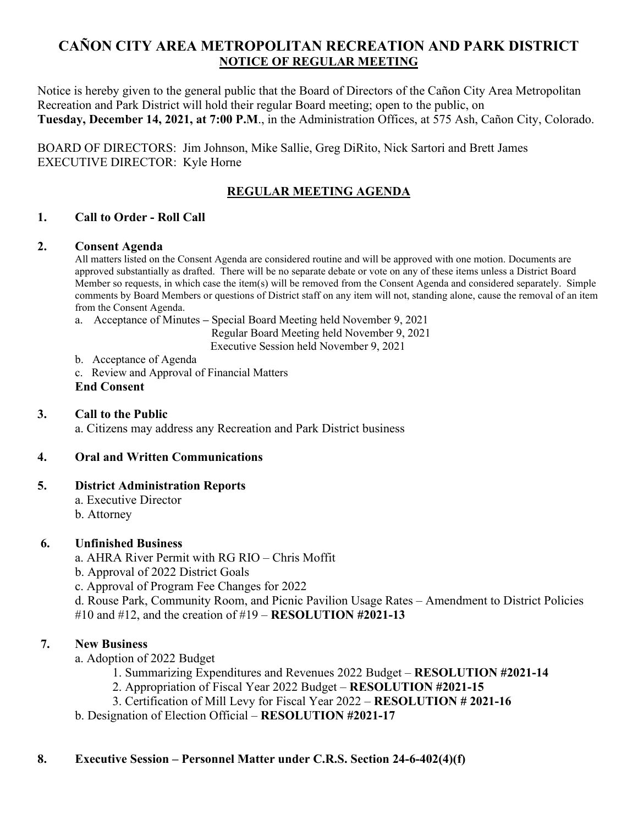# **CAÑON CITY AREA METROPOLITAN RECREATION AND PARK DISTRICT NOTICE OF REGULAR MEETING**

Notice is hereby given to the general public that the Board of Directors of the Cañon City Area Metropolitan Recreation and Park District will hold their regular Board meeting; open to the public, on **Tuesday, December 14, 2021, at 7:00 P.M**., in the Administration Offices, at 575 Ash, Cañon City, Colorado.

BOARD OF DIRECTORS: Jim Johnson, Mike Sallie, Greg DiRito, Nick Sartori and Brett James EXECUTIVE DIRECTOR: Kyle Horne

# **REGULAR MEETING AGENDA**

#### **1. Call to Order - Roll Call**

#### **2. Consent Agenda**

All matters listed on the Consent Agenda are considered routine and will be approved with one motion. Documents are approved substantially as drafted. There will be no separate debate or vote on any of these items unless a District Board Member so requests, in which case the item(s) will be removed from the Consent Agenda and considered separately. Simple comments by Board Members or questions of District staff on any item will not, standing alone, cause the removal of an item from the Consent Agenda.

a. Acceptance of Minutes **–** Special Board Meeting held November 9, 2021

Regular Board Meeting held November 9, 2021

Executive Session held November 9, 2021

- b. Acceptance of Agenda
- c. Review and Approval of Financial Matters

#### **End Consent**

### **3. Call to the Public**

a. Citizens may address any Recreation and Park District business

### **4. Oral and Written Communications**

#### **5. District Administration Reports**

- a. Executive Director
- b. Attorney

### **6. Unfinished Business**

- a. AHRA River Permit with RG RIO Chris Moffit
- b. Approval of 2022 District Goals
- c. Approval of Program Fee Changes for 2022

d. Rouse Park, Community Room, and Picnic Pavilion Usage Rates – Amendment to District Policies #10 and #12, and the creation of #19 – **RESOLUTION #2021-13**

### **7. New Business**

- a. Adoption of 2022 Budget
	- 1. Summarizing Expenditures and Revenues 2022 Budget **RESOLUTION #2021-14**
	- 2. Appropriation of Fiscal Year 2022 Budget **RESOLUTION #2021-15**
	- 3. Certification of Mill Levy for Fiscal Year 2022 **RESOLUTION # 2021-16**
- b. Designation of Election Official **RESOLUTION #2021-17**

#### **8. Executive Session – Personnel Matter under C.R.S. Section 24-6-402(4)(f)**